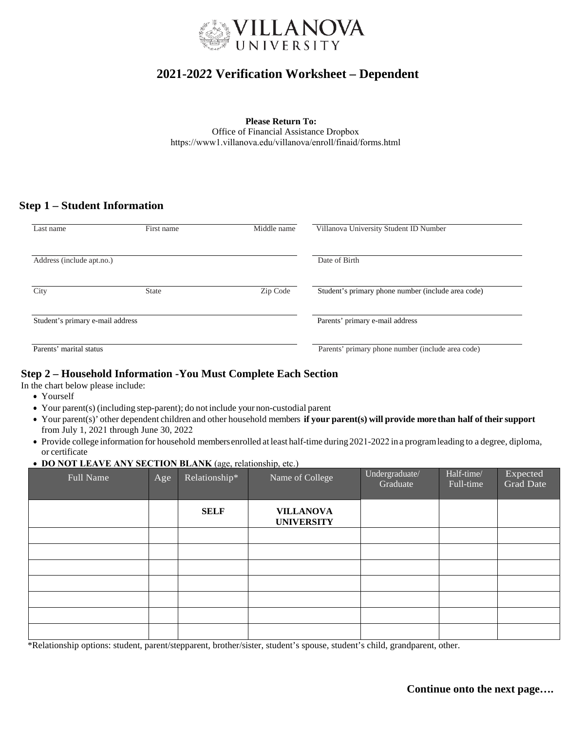

# **2021-20***2***2 Verification Worksheet – Dependent**

**Please Return To:** Office of Financial Assistance Dropbox https://www1.villanova.edu/villanova/enroll/finaid/forms.html

# **Step 1 – Student Information**

| Last name                        | First name   | Middle name                     | Villanova University Student ID Number             |  |  |
|----------------------------------|--------------|---------------------------------|----------------------------------------------------|--|--|
| Address (include apt.no.)        |              | Date of Birth                   |                                                    |  |  |
| City                             | <b>State</b> | Zip Code                        | Student's primary phone number (include area code) |  |  |
| Student's primary e-mail address |              | Parents' primary e-mail address |                                                    |  |  |
| Parents' marital status          |              |                                 | Parents' primary phone number (include area code)  |  |  |

## **Step 2 – Household Information -You Must Complete Each Section**

In the chart below please include:

- Yourself
- Your parent(s) (including step-parent); do not include your non-custodial parent
- Your parent(s)' other dependent children and other household members **if your parent(s) will provide more than half of their support** from July 1, 2021 through June 30, 2022
- Provide college information for household membersenrolled at least half-time during 2021-2022 ina programleading to a degree, diploma, or certificate

#### • **DO NOT LEAVE ANY SECTION BLANK** (age, relationship, etc.)

| Full Name | Age | Relationship* | Name of College                       | Undergraduate/<br>Graduate | Half-time/<br>Full-time | Expected<br>Grad Date |
|-----------|-----|---------------|---------------------------------------|----------------------------|-------------------------|-----------------------|
|           |     | <b>SELF</b>   | <b>VILLANOVA</b><br><b>UNIVERSITY</b> |                            |                         |                       |
|           |     |               |                                       |                            |                         |                       |
|           |     |               |                                       |                            |                         |                       |
|           |     |               |                                       |                            |                         |                       |
|           |     |               |                                       |                            |                         |                       |
|           |     |               |                                       |                            |                         |                       |
|           |     |               |                                       |                            |                         |                       |
|           |     |               |                                       |                            |                         |                       |

\*Relationship options: student, parent/stepparent, brother/sister, student's spouse, student's child, grandparent, other.